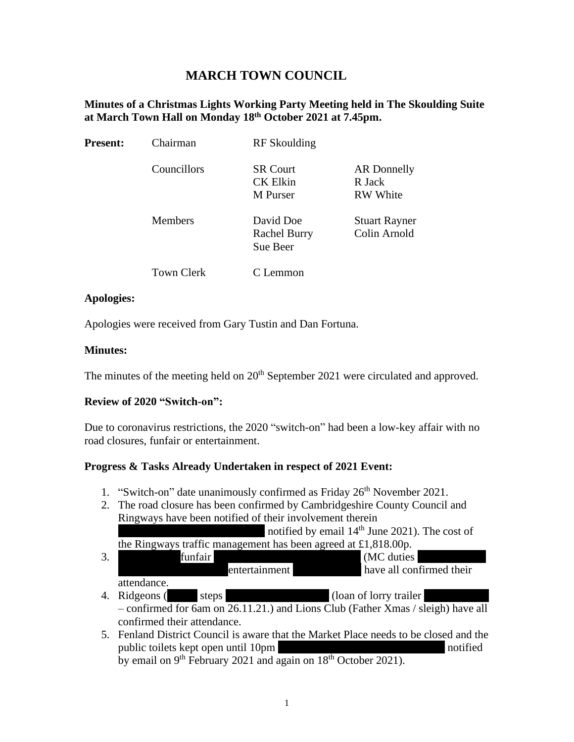# **MARCH TOWN COUNCIL**

#### **Minutes of a Christmas Lights Working Party Meeting held in The Skoulding Suite at March Town Hall on Monday 18th October 2021 at 7.45pm.**

| <b>Present:</b> | Chairman          | RF Skoulding                                   |                                                 |  |
|-----------------|-------------------|------------------------------------------------|-------------------------------------------------|--|
|                 | Councillors       | <b>SR Court</b><br><b>CK Elkin</b><br>M Purser | <b>AR</b> Donnelly<br>R Jack<br><b>RW</b> White |  |
|                 | <b>Members</b>    | David Doe<br><b>Rachel Burry</b><br>Sue Beer   | <b>Stuart Rayner</b><br>Colin Arnold            |  |
|                 | <b>Town Clerk</b> | Lemmon                                         |                                                 |  |

#### **Apologies:**

Apologies were received from Gary Tustin and Dan Fortuna.

#### **Minutes:**

The minutes of the meeting held on 20<sup>th</sup> September 2021 were circulated and approved.

## **Review of 2020 "Switch-on":**

Due to coronavirus restrictions, the 2020 "switch-on" had been a low-key affair with no road closures, funfair or entertainment.

## **Progress & Tasks Already Undertaken in respect of 2021 Event:**

- 1. "Switch-on" date unanimously confirmed as Friday  $26<sup>th</sup>$  November 2021.
- 2. The road closure has been confirmed by Cambridgeshire County Council and Ringways have been notified of their involvement therein notified by email  $14<sup>th</sup>$  June 2021). The cost of

the Ringways traffic management has been agreed at £1,818.00p.

| 3. | funfair     |               | (MC duties)              |
|----|-------------|---------------|--------------------------|
|    |             | entertainment | have all confirmed their |
|    | attendance. |               |                          |

- 4. Ridgeons (Dave steps 662000), John Thomas (loan of lorry trailer 01945 450555 – confirmed for 6am on 26.11.21.) and Lions Club (Father Xmas / sleigh) have all confirmed their attendance.
- 5. Fenland District Council is aware that the Market Place needs to be closed and the public toilets kept open until 10pm (Islamic Edgington and Layer notified) notified by email on 9<sup>th</sup> February 2021 and again on 18<sup>th</sup> October 2021).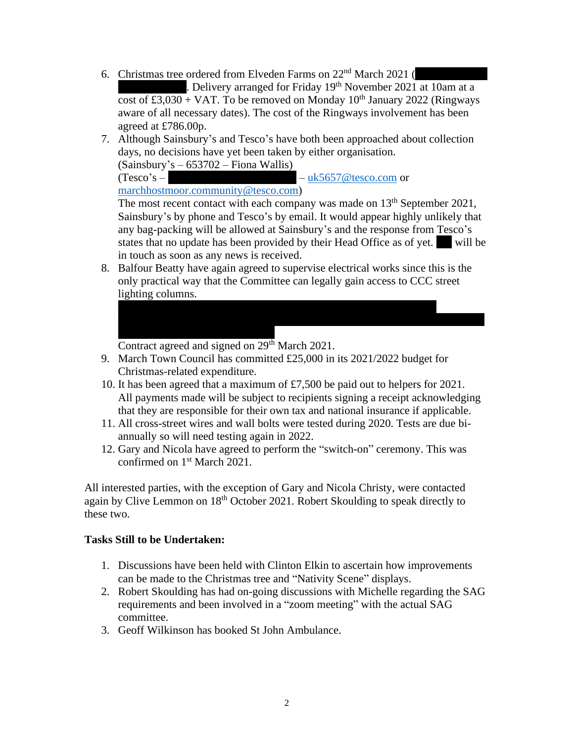6. Christmas tree ordered from Elveden Farms on  $22<sup>nd</sup>$  March 2021 (

. Delivery arranged for Friday  $19<sup>th</sup>$  November 2021 at 10am at a cost of £3,030 + VAT. To be removed on Monday  $10^{th}$  January 2022 (Ringways aware of all necessary dates). The cost of the Ringways involvement has been agreed at £786.00p.

7. Although Sainsbury's and Tesco's have both been approached about collection days, no decisions have yet been taken by either organisation. (Sainsbury's – 653702 – Fiona Wallis)

 $(T\text{esco's} -$  – [uk5657@tesco.com](mailto:uk5657@tesco.com) or

[marchhostmoor.community@tesco.com\)](mailto:marchhostmoor.community@tesco.com)

The most recent contact with each company was made on  $13<sup>th</sup>$  September 2021, Sainsbury's by phone and Tesco's by email. It would appear highly unlikely that any bag-packing will be allowed at Sainsbury's and the response from Tesco's states that no update has been provided by their Head Office as of yet. Will be in touch as soon as any news is received.

8. Balfour Beatty have again agreed to supervise electrical works since this is the only practical way that the Committee can legally gain access to CCC street lighting columns.

Contract agreed and signed on 29<sup>th</sup> March 2021.

9. March Town Council has committed £25,000 in its 2021/2022 budget for Christmas-related expenditure.

 $\mathcal{B}$  , or other operations  $\mathcal{B}$  ,  $\mathcal{B}$  and  $\mathcal{B}$   $\mathcal{B}$   $\mathcal{B}$   $\mathcal{B}$   $\mathcal{B}$ 

- 10. It has been agreed that a maximum of £7,500 be paid out to helpers for 2021. All payments made will be subject to recipients signing a receipt acknowledging that they are responsible for their own tax and national insurance if applicable.
- 11. All cross-street wires and wall bolts were tested during 2020. Tests are due biannually so will need testing again in 2022.
- 12. Gary and Nicola have agreed to perform the "switch-on" ceremony. This was confirmed on 1<sup>st</sup> March 2021.

All interested parties, with the exception of Gary and Nicola Christy, were contacted again by Clive Lemmon on 18th October 2021. Robert Skoulding to speak directly to these two.

## **Tasks Still to be Undertaken:**

- 1. Discussions have been held with Clinton Elkin to ascertain how improvements can be made to the Christmas tree and "Nativity Scene" displays.
- 2. Robert Skoulding has had on-going discussions with Michelle regarding the SAG requirements and been involved in a "zoom meeting" with the actual SAG committee.
- 3. Geoff Wilkinson has booked St John Ambulance.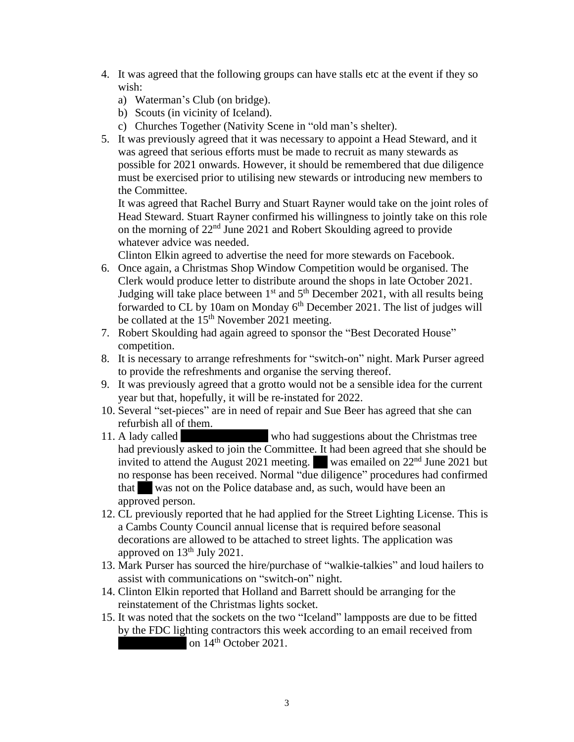- 4. It was agreed that the following groups can have stalls etc at the event if they so wish:
	- a) Waterman's Club (on bridge).
	- b) Scouts (in vicinity of Iceland).
	- c) Churches Together (Nativity Scene in "old man's shelter).
- 5. It was previously agreed that it was necessary to appoint a Head Steward, and it was agreed that serious efforts must be made to recruit as many stewards as possible for 2021 onwards. However, it should be remembered that due diligence must be exercised prior to utilising new stewards or introducing new members to the Committee.

It was agreed that Rachel Burry and Stuart Rayner would take on the joint roles of Head Steward. Stuart Rayner confirmed his willingness to jointly take on this role on the morning of 22nd June 2021 and Robert Skoulding agreed to provide whatever advice was needed.

Clinton Elkin agreed to advertise the need for more stewards on Facebook.

- 6. Once again, a Christmas Shop Window Competition would be organised. The Clerk would produce letter to distribute around the shops in late October 2021. Judging will take place between  $1<sup>st</sup>$  and  $5<sup>th</sup>$  December 2021, with all results being forwarded to CL by 10am on Monday  $6<sup>th</sup>$  December 2021. The list of judges will be collated at the 15<sup>th</sup> November 2021 meeting.
- 7. Robert Skoulding had again agreed to sponsor the "Best Decorated House" competition.
- 8. It is necessary to arrange refreshments for "switch-on" night. Mark Purser agreed to provide the refreshments and organise the serving thereof.
- 9. It was previously agreed that a grotto would not be a sensible idea for the current year but that, hopefully, it will be re-instated for 2022.
- 10. Several "set-pieces" are in need of repair and Sue Beer has agreed that she can refurbish all of them.
- 11. A lady called who had suggestions about the Christmas tree had previously asked to join the Committee. It had been agreed that she should be invited to attend the August 2021 meeting. Was emailed on  $22<sup>nd</sup>$  June 2021 but no response has been received. Normal "due diligence" procedures had confirmed that was not on the Police database and, as such, would have been an approved person.
- 12. CL previously reported that he had applied for the Street Lighting License. This is a Cambs County Council annual license that is required before seasonal decorations are allowed to be attached to street lights. The application was approved on  $13<sup>th</sup>$  July 2021.
- 13. Mark Purser has sourced the hire/purchase of "walkie-talkies" and loud hailers to assist with communications on "switch-on" night.
- 14. Clinton Elkin reported that Holland and Barrett should be arranging for the reinstatement of the Christmas lights socket.
- 15. It was noted that the sockets on the two "Iceland" lampposts are due to be fitted by the FDC lighting contractors this week according to an email received from on 14<sup>th</sup> October 2021.